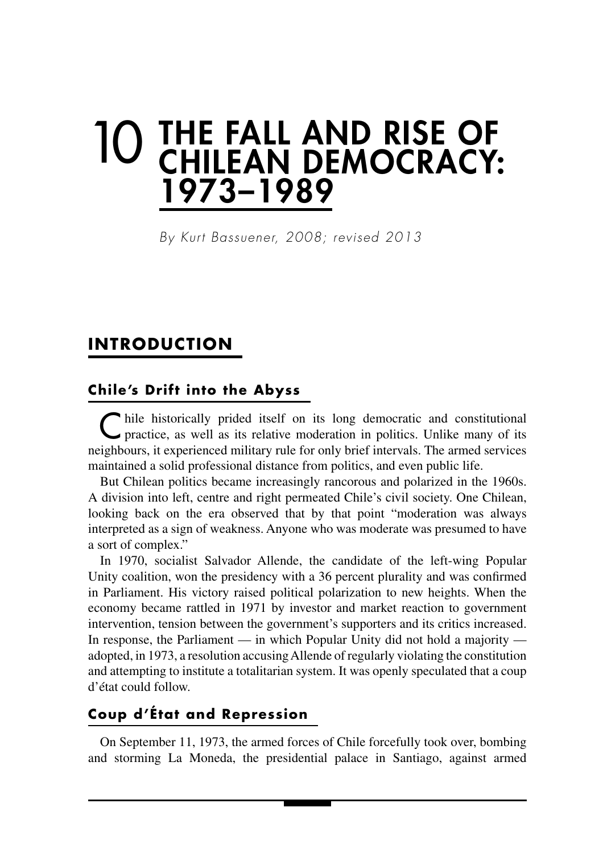# 10 THE FALL AND RISE OF CHILEAN DEMOCRACY: 1973–1989

*By Kurt Bassuener, 2008; revised 2013*

# **INTRODUCTION**

## **Chile's Drift into the Abyss**

Chile historically prided itself on its long democratic and constitutional practice, as well as its relative moderation in politics. Unlike many of its neighbours, it experienced military rule for only brief intervals. The armed services maintained a solid professional distance from politics, and even public life.

But Chilean politics became increasingly rancorous and polarized in the 1960s. A division into left, centre and right permeated Chile's civil society. One Chilean, looking back on the era observed that by that point "moderation was always interpreted as a sign of weakness. Anyone who was moderate was presumed to have a sort of complex."

In 1970, socialist Salvador Allende, the candidate of the left-wing Popular Unity coalition, won the presidency with a 36 percent plurality and was confrmed in Parliament. His victory raised political polarization to new heights. When the economy became rattled in 1971 by investor and market reaction to government intervention, tension between the government's supporters and its critics increased. In response, the Parliament — in which Popular Unity did not hold a majority adopted, in 1973, a resolution accusing Allende of regularly violating the constitution and attempting to institute a totalitarian system. It was openly speculated that a coup d'état could follow.

## **Coup d'État and Repression**

On September 11, 1973, the armed forces of Chile forcefully took over, bombing and storming La Moneda, the presidential palace in Santiago, against armed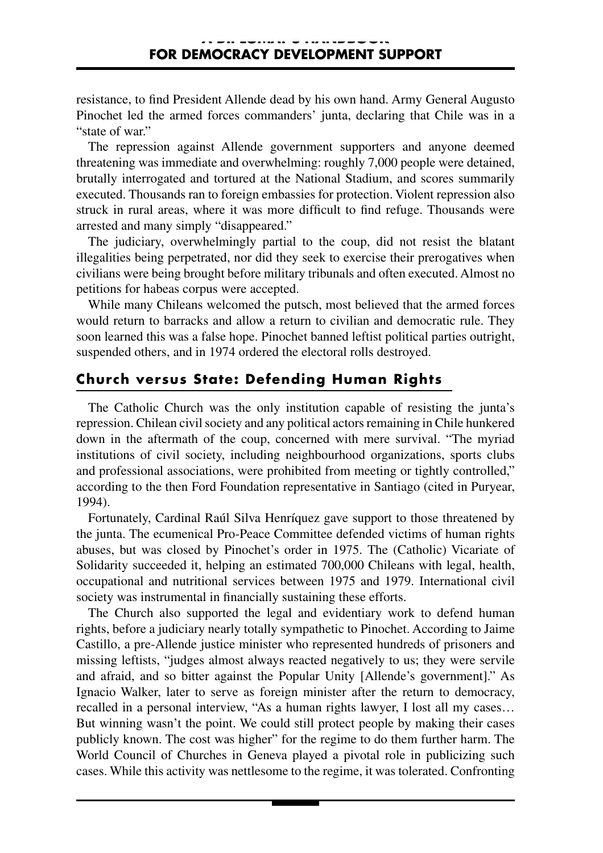resistance, to fnd President Allende dead by his own hand. Army General Augusto Pinochet led the armed forces commanders' junta, declaring that Chile was in a "state of war."

The repression against Allende government supporters and anyone deemed threatening was immediate and overwhelming: roughly 7,000 people were detained, brutally interrogated and tortured at the National Stadium, and scores summarily executed. Thousands ran to foreign embassies for protection. Violent repression also struck in rural areas, where it was more diffcult to fnd refuge. Thousands were arrested and many simply "disappeared."

The judiciary, overwhelmingly partial to the coup, did not resist the blatant illegalities being perpetrated, nor did they seek to exercise their prerogatives when civilians were being brought before military tribunals and often executed. Almost no petitions for habeas corpus were accepted.

While many Chileans welcomed the putsch, most believed that the armed forces would return to barracks and allow a return to civilian and democratic rule. They soon learned this was a false hope. Pinochet banned leftist political parties outright, suspended others, and in 1974 ordered the electoral rolls destroyed.

## **Church versus State: Defending Human Rights**

The Catholic Church was the only institution capable of resisting the junta's repression. Chilean civil society and any political actors remaining in Chile hunkered down in the aftermath of the coup, concerned with mere survival. "The myriad institutions of civil society, including neighbourhood organizations, sports clubs and professional associations, were prohibited from meeting or tightly controlled," according to the then Ford Foundation representative in Santiago (cited in Puryear, 1994).

Fortunately, Cardinal Raúl Silva Henríquez gave support to those threatened by the junta. The ecumenical Pro-Peace Committee defended victims of human rights abuses, but was closed by Pinochet's order in 1975. The (Catholic) Vicariate of Solidarity succeeded it, helping an estimated 700,000 Chileans with legal, health, occupational and nutritional services between 1975 and 1979. International civil society was instrumental in fnancially sustaining these efforts.

The Church also supported the legal and evidentiary work to defend human rights, before a judiciary nearly totally sympathetic to Pinochet. According to Jaime Castillo, a pre-Allende justice minister who represented hundreds of prisoners and missing leftists, "judges almost always reacted negatively to us; they were servile and afraid, and so bitter against the Popular Unity [Allende's government]." As Ignacio Walker, later to serve as foreign minister after the return to democracy, recalled in a personal interview, "As a human rights lawyer, I lost all my cases… But winning wasn't the point. We could still protect people by making their cases publicly known. The cost was higher" for the regime to do them further harm. The World Council of Churches in Geneva played a pivotal role in publicizing such cases. While this activity was nettlesome to the regime, it was tolerated. Confronting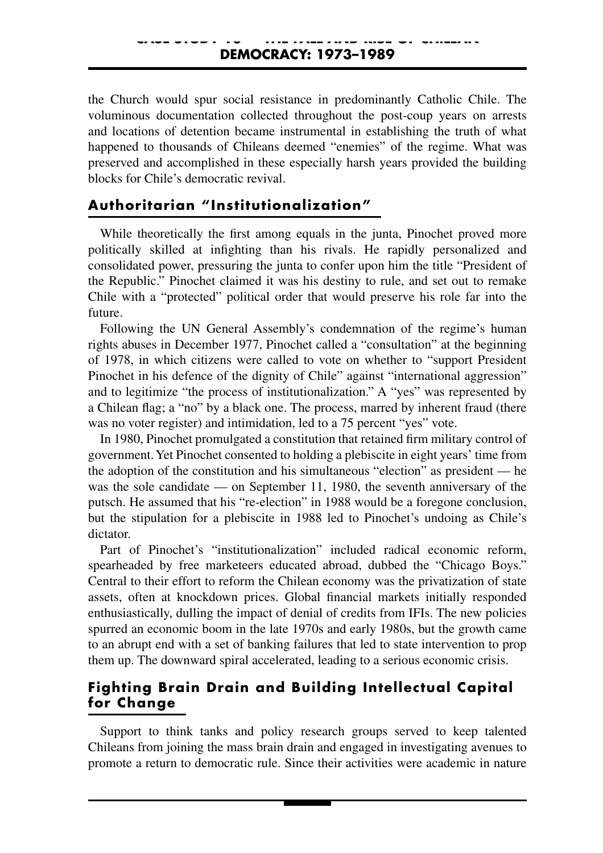the Church would spur social resistance in predominantly Catholic Chile. The voluminous documentation collected throughout the post-coup years on arrests and locations of detention became instrumental in establishing the truth of what happened to thousands of Chileans deemed "enemies" of the regime. What was preserved and accomplished in these especially harsh years provided the building blocks for Chile's democratic revival.

## **Authoritarian "Institutionalization"**

While theoretically the first among equals in the junta, Pinochet proved more politically skilled at infghting than his rivals. He rapidly personalized and consolidated power, pressuring the junta to confer upon him the title "President of the Republic." Pinochet claimed it was his destiny to rule, and set out to remake Chile with a "protected" political order that would preserve his role far into the future.

Following the UN General Assembly's condemnation of the regime's human rights abuses in December 1977, Pinochet called a "consultation" at the beginning of 1978, in which citizens were called to vote on whether to "support President Pinochet in his defence of the dignity of Chile" against "international aggression" and to legitimize "the process of institutionalization." A "yes" was represented by a Chilean fag; a "no" by a black one. The process, marred by inherent fraud (there was no voter register) and intimidation, led to a 75 percent "yes" vote.

In 1980, Pinochet promulgated a constitution that retained frm military control of government. Yet Pinochet consented to holding a plebiscite in eight years' time from the adoption of the constitution and his simultaneous "election" as president — he was the sole candidate — on September 11, 1980, the seventh anniversary of the putsch. He assumed that his "re-election" in 1988 would be a foregone conclusion, but the stipulation for a plebiscite in 1988 led to Pinochet's undoing as Chile's dictator.

Part of Pinochet's "institutionalization" included radical economic reform, spearheaded by free marketeers educated abroad, dubbed the "Chicago Boys." Central to their effort to reform the Chilean economy was the privatization of state assets, often at knockdown prices. Global fnancial markets initially responded enthusiastically, dulling the impact of denial of credits from IFIs. The new policies spurred an economic boom in the late 1970s and early 1980s, but the growth came to an abrupt end with a set of banking failures that led to state intervention to prop them up. The downward spiral accelerated, leading to a serious economic crisis.

## **Fighting Brain Drain and Building Intellectual Capital for Change**

Support to think tanks and policy research groups served to keep talented Chileans from joining the mass brain drain and engaged in investigating avenues to promote a return to democratic rule. Since their activities were academic in nature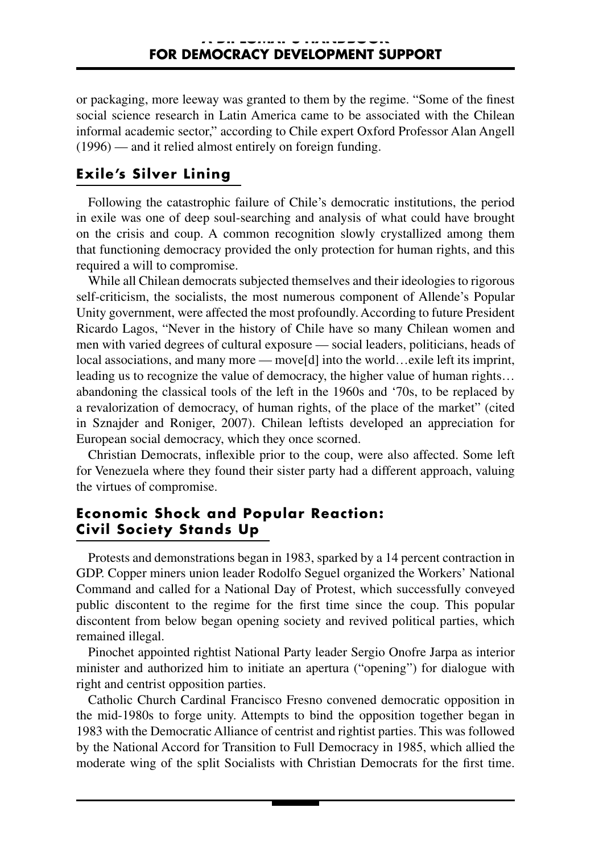or packaging, more leeway was granted to them by the regime. "Some of the fnest social science research in Latin America came to be associated with the Chilean informal academic sector," according to Chile expert Oxford Professor Alan Angell (1996) — and it relied almost entirely on foreign funding.

## **Exile's Silver Lining**

Following the catastrophic failure of Chile's democratic institutions, the period in exile was one of deep soul-searching and analysis of what could have brought on the crisis and coup. A common recognition slowly crystallized among them that functioning democracy provided the only protection for human rights, and this required a will to compromise.

While all Chilean democrats subjected themselves and their ideologies to rigorous self-criticism, the socialists, the most numerous component of Allende's Popular Unity government, were affected the most profoundly. According to future President Ricardo Lagos, "Never in the history of Chile have so many Chilean women and men with varied degrees of cultural exposure — social leaders, politicians, heads of local associations, and many more — move[d] into the world…exile left its imprint, leading us to recognize the value of democracy, the higher value of human rights… abandoning the classical tools of the left in the 1960s and '70s, to be replaced by a revalorization of democracy, of human rights, of the place of the market" (cited in Sznajder and Roniger, 2007). Chilean leftists developed an appreciation for European social democracy, which they once scorned.

Christian Democrats, infexible prior to the coup, were also affected. Some left for Venezuela where they found their sister party had a different approach, valuing the virtues of compromise.

### **Economic Shock and Popular Reaction: Civil Society Stands Up**

Protests and demonstrations began in 1983, sparked by a 14 percent contraction in GDP. Copper miners union leader Rodolfo Seguel organized the Workers' National Command and called for a National Day of Protest, which successfully conveyed public discontent to the regime for the frst time since the coup. This popular discontent from below began opening society and revived political parties, which remained illegal.

Pinochet appointed rightist National Party leader Sergio Onofre Jarpa as interior minister and authorized him to initiate an apertura ("opening") for dialogue with right and centrist opposition parties.

Catholic Church Cardinal Francisco Fresno convened democratic opposition in the mid-1980s to forge unity. Attempts to bind the opposition together began in 1983 with the Democratic Alliance of centrist and rightist parties. This was followed by the National Accord for Transition to Full Democracy in 1985, which allied the moderate wing of the split Socialists with Christian Democrats for the frst time.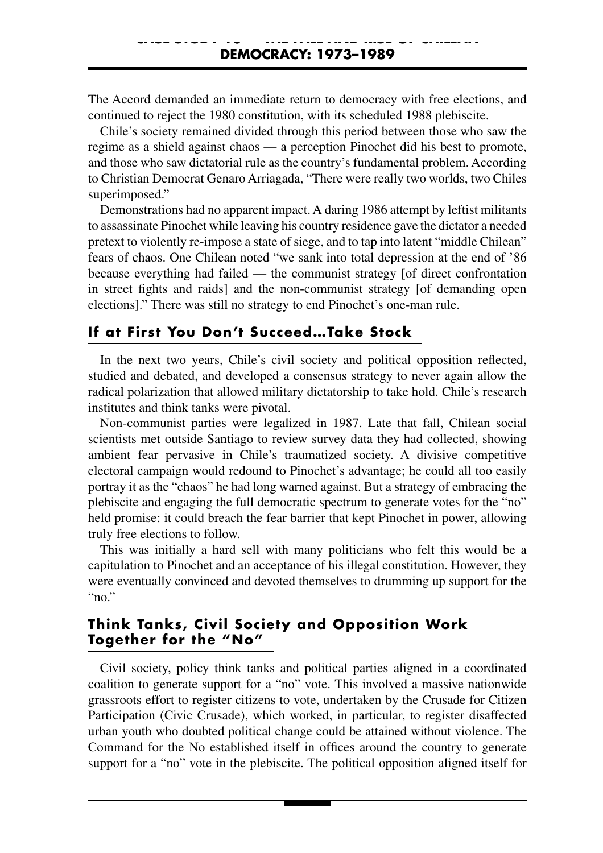The Accord demanded an immediate return to democracy with free elections, and continued to reject the 1980 constitution, with its scheduled 1988 plebiscite.

Chile's society remained divided through this period between those who saw the regime as a shield against chaos — a perception Pinochet did his best to promote, and those who saw dictatorial rule as the country's fundamental problem. According to Christian Democrat Genaro Arriagada, "There were really two worlds, two Chiles superimposed."

Demonstrations had no apparent impact. A daring 1986 attempt by leftist militants to assassinate Pinochet while leaving his country residence gave the dictator a needed pretext to violently re-impose a state of siege, and to tap into latent "middle Chilean" fears of chaos. One Chilean noted "we sank into total depression at the end of '86 because everything had failed — the communist strategy [of direct confrontation in street fghts and raids] and the non-communist strategy [of demanding open elections]." There was still no strategy to end Pinochet's one-man rule.

## **If at First You Don't Succeed…Take Stock**

In the next two years, Chile's civil society and political opposition refected, studied and debated, and developed a consensus strategy to never again allow the radical polarization that allowed military dictatorship to take hold. Chile's research institutes and think tanks were pivotal.

Non-communist parties were legalized in 1987. Late that fall, Chilean social scientists met outside Santiago to review survey data they had collected, showing ambient fear pervasive in Chile's traumatized society. A divisive competitive electoral campaign would redound to Pinochet's advantage; he could all too easily portray it as the "chaos" he had long warned against. But a strategy of embracing the plebiscite and engaging the full democratic spectrum to generate votes for the "no" held promise: it could breach the fear barrier that kept Pinochet in power, allowing truly free elections to follow.

This was initially a hard sell with many politicians who felt this would be a capitulation to Pinochet and an acceptance of his illegal constitution. However, they were eventually convinced and devoted themselves to drumming up support for the "no."

## **Think Tanks, Civil Society and Opposition Work Together for the "No"**

Civil society, policy think tanks and political parties aligned in a coordinated coalition to generate support for a "no" vote. This involved a massive nationwide grassroots effort to register citizens to vote, undertaken by the Crusade for Citizen Participation (Civic Crusade), which worked, in particular, to register disaffected urban youth who doubted political change could be attained without violence. The Command for the No established itself in offices around the country to generate support for a "no" vote in the plebiscite. The political opposition aligned itself for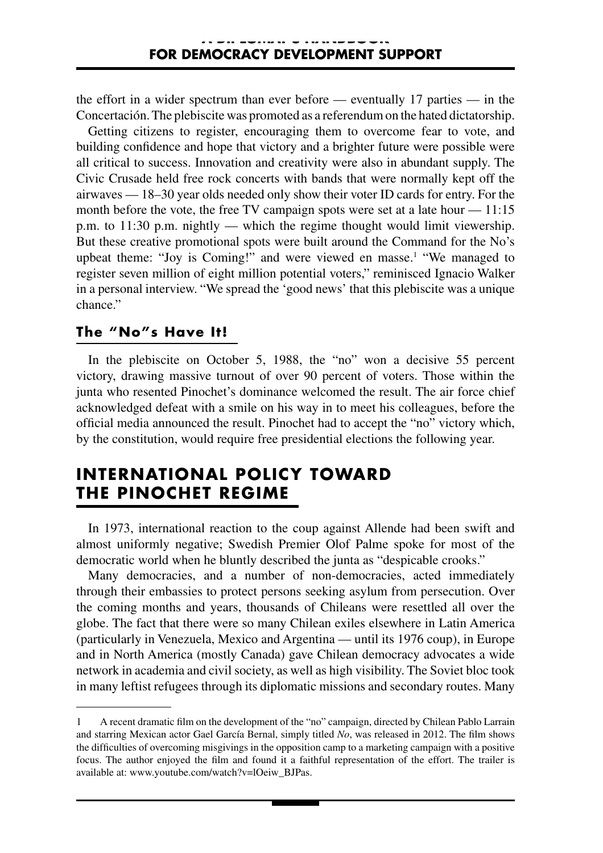the effort in a wider spectrum than ever before — eventually 17 parties — in the Concertación. The plebiscite was promoted as a referendum on the hated dictatorship.

Getting citizens to register, encouraging them to overcome fear to vote, and building confdence and hope that victory and a brighter future were possible were all critical to success. Innovation and creativity were also in abundant supply. The Civic Crusade held free rock concerts with bands that were normally kept off the airwaves — 18–30 year olds needed only show their voter ID cards for entry. For the month before the vote, the free TV campaign spots were set at a late hour — 11:15 p.m. to 11:30 p.m. nightly — which the regime thought would limit viewership. But these creative promotional spots were built around the Command for the No's upbeat theme: "Joy is Coming!" and were viewed en masse.<sup>1</sup> "We managed to register seven million of eight million potential voters," reminisced Ignacio Walker in a personal interview. "We spread the 'good news' that this plebiscite was a unique chance."

#### **The "No"s Have It!**

In the plebiscite on October 5, 1988, the "no" won a decisive 55 percent victory, drawing massive turnout of over 90 percent of voters. Those within the junta who resented Pinochet's dominance welcomed the result. The air force chief acknowledged defeat with a smile on his way in to meet his colleagues, before the offcial media announced the result. Pinochet had to accept the "no" victory which, by the constitution, would require free presidential elections the following year.

## **INTERNATIONAL POLICY TOWARD THE PINOCHET REGIME**

In 1973, international reaction to the coup against Allende had been swift and almost uniformly negative; Swedish Premier Olof Palme spoke for most of the democratic world when he bluntly described the junta as "despicable crooks."

Many democracies, and a number of non-democracies, acted immediately through their embassies to protect persons seeking asylum from persecution. Over the coming months and years, thousands of Chileans were resettled all over the globe. The fact that there were so many Chilean exiles elsewhere in Latin America (particularly in Venezuela, Mexico and Argentina — until its 1976 coup), in Europe and in North America (mostly Canada) gave Chilean democracy advocates a wide network in academia and civil society, as well as high visibility. The Soviet bloc took in many leftist refugees through its diplomatic missions and secondary routes. Many

<sup>1</sup> A recent dramatic flm on the development of the "no" campaign, directed by Chilean Pablo Larrain and starring Mexican actor Gael García Bernal, simply titled *No*, was released in 2012. The flm shows the diffculties of overcoming misgivings in the opposition camp to a marketing campaign with a positive focus. The author enjoyed the flm and found it a faithful representation of the effort. The trailer is available at: www.youtube.com/watch?v=lOeiw\_BJPas.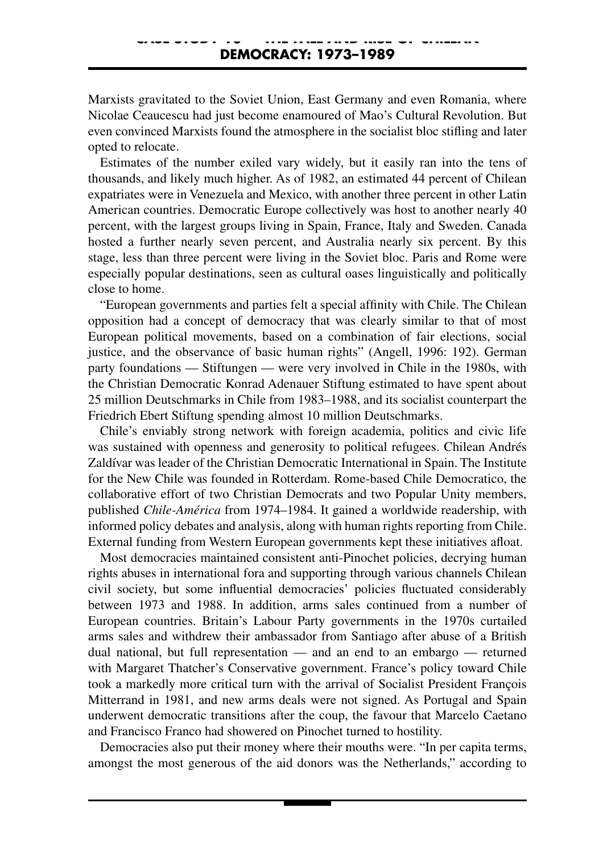Marxists gravitated to the Soviet Union, East Germany and even Romania, where Nicolae Ceaucescu had just become enamoured of Mao's Cultural Revolution. But even convinced Marxists found the atmosphere in the socialist bloc stifing and later opted to relocate.

Estimates of the number exiled vary widely, but it easily ran into the tens of thousands, and likely much higher. As of 1982, an estimated 44 percent of Chilean expatriates were in Venezuela and Mexico, with another three percent in other Latin American countries. Democratic Europe collectively was host to another nearly 40 percent, with the largest groups living in Spain, France, Italy and Sweden. Canada hosted a further nearly seven percent, and Australia nearly six percent. By this stage, less than three percent were living in the Soviet bloc. Paris and Rome were especially popular destinations, seen as cultural oases linguistically and politically close to home.

"European governments and parties felt a special affnity with Chile. The Chilean opposition had a concept of democracy that was clearly similar to that of most European political movements, based on a combination of fair elections, social justice, and the observance of basic human rights" (Angell, 1996: 192). German party foundations — Stiftungen — were very involved in Chile in the 1980s, with the Christian Democratic Konrad Adenauer Stiftung estimated to have spent about 25 million Deutschmarks in Chile from 1983–1988, and its socialist counterpart the Friedrich Ebert Stiftung spending almost 10 million Deutschmarks.

Chile's enviably strong network with foreign academia, politics and civic life was sustained with openness and generosity to political refugees. Chilean Andrés Zaldívar was leader of the Christian Democratic International in Spain. The Institute for the New Chile was founded in Rotterdam. Rome-based Chile Democratico, the collaborative effort of two Christian Democrats and two Popular Unity members, published *Chile-América* from 1974–1984. It gained a worldwide readership, with informed policy debates and analysis, along with human rights reporting from Chile. External funding from Western European governments kept these initiatives afoat.

Most democracies maintained consistent anti-Pinochet policies, decrying human rights abuses in international fora and supporting through various channels Chilean civil society, but some infuential democracies' policies fuctuated considerably between 1973 and 1988. In addition, arms sales continued from a number of European countries. Britain's Labour Party governments in the 1970s curtailed arms sales and withdrew their ambassador from Santiago after abuse of a British dual national, but full representation — and an end to an embargo — returned with Margaret Thatcher's Conservative government. France's policy toward Chile took a markedly more critical turn with the arrival of Socialist President François Mitterrand in 1981, and new arms deals were not signed. As Portugal and Spain underwent democratic transitions after the coup, the favour that Marcelo Caetano and Francisco Franco had showered on Pinochet turned to hostility.

Democracies also put their money where their mouths were. "In per capita terms, amongst the most generous of the aid donors was the Netherlands," according to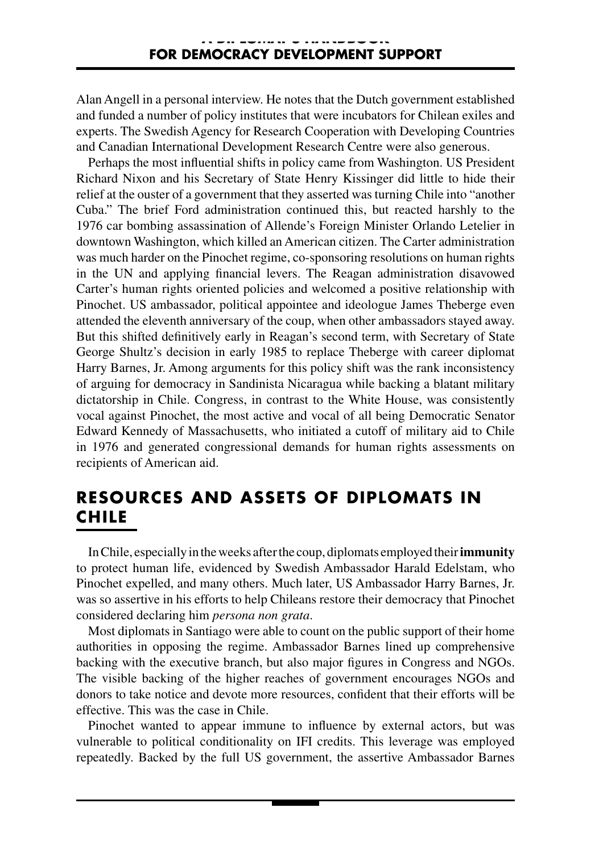Alan Angell in a personal interview. He notes that the Dutch government established and funded a number of policy institutes that were incubators for Chilean exiles and experts. The Swedish Agency for Research Cooperation with Developing Countries and Canadian International Development Research Centre were also generous.

Perhaps the most infuential shifts in policy came from Washington. US President Richard Nixon and his Secretary of State Henry Kissinger did little to hide their relief at the ouster of a government that they asserted was turning Chile into "another Cuba." The brief Ford administration continued this, but reacted harshly to the 1976 car bombing assassination of Allende's Foreign Minister Orlando Letelier in downtown Washington, which killed an American citizen. The Carter administration was much harder on the Pinochet regime, co-sponsoring resolutions on human rights in the UN and applying fnancial levers. The Reagan administration disavowed Carter's human rights oriented policies and welcomed a positive relationship with Pinochet. US ambassador, political appointee and ideologue James Theberge even attended the eleventh anniversary of the coup, when other ambassadors stayed away. But this shifted defnitively early in Reagan's second term, with Secretary of State George Shultz's decision in early 1985 to replace Theberge with career diplomat Harry Barnes, Jr. Among arguments for this policy shift was the rank inconsistency of arguing for democracy in Sandinista Nicaragua while backing a blatant military dictatorship in Chile. Congress, in contrast to the White House, was consistently vocal against Pinochet, the most active and vocal of all being Democratic Senator Edward Kennedy of Massachusetts, who initiated a cutoff of military aid to Chile in 1976 and generated congressional demands for human rights assessments on recipients of American aid.

## **RESOURCES AND ASSETS OF DIPLOMATS IN CHILE**

In Chile, especially in the weeks after the coup, diplomats employed their **immunity**  to protect human life, evidenced by Swedish Ambassador Harald Edelstam, who Pinochet expelled, and many others. Much later, US Ambassador Harry Barnes, Jr. was so assertive in his efforts to help Chileans restore their democracy that Pinochet considered declaring him *persona non grata*.

Most diplomats in Santiago were able to count on the public support of their home authorities in opposing the regime. Ambassador Barnes lined up comprehensive backing with the executive branch, but also major fgures in Congress and NGOs. The visible backing of the higher reaches of government encourages NGOs and donors to take notice and devote more resources, confdent that their efforts will be effective. This was the case in Chile.

Pinochet wanted to appear immune to infuence by external actors, but was vulnerable to political conditionality on IFI credits. This leverage was employed repeatedly. Backed by the full US government, the assertive Ambassador Barnes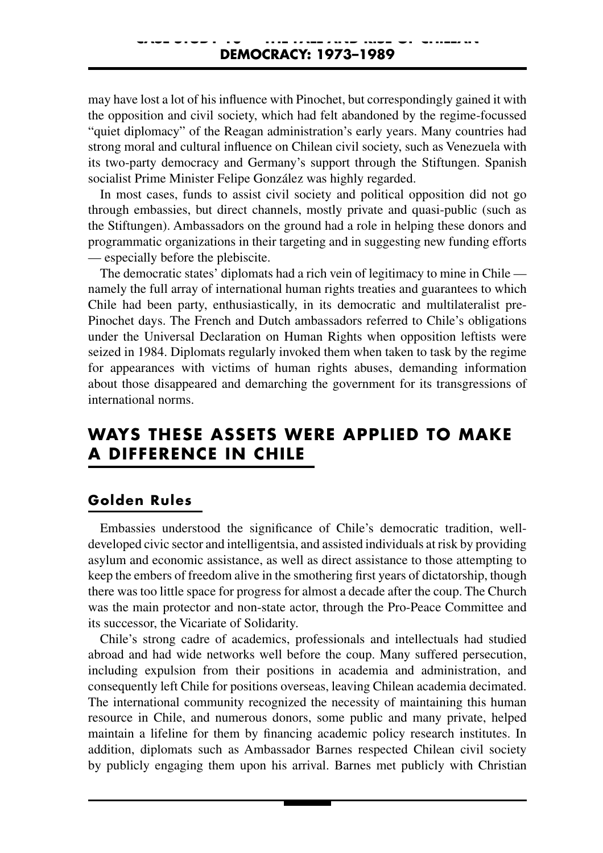may have lost a lot of his infuence with Pinochet, but correspondingly gained it with the opposition and civil society, which had felt abandoned by the regime-focussed "quiet diplomacy" of the Reagan administration's early years. Many countries had strong moral and cultural infuence on Chilean civil society, such as Venezuela with its two-party democracy and Germany's support through the Stiftungen. Spanish socialist Prime Minister Felipe González was highly regarded.

In most cases, funds to assist civil society and political opposition did not go through embassies, but direct channels, mostly private and quasi-public (such as the Stiftungen). Ambassadors on the ground had a role in helping these donors and programmatic organizations in their targeting and in suggesting new funding efforts — especially before the plebiscite.

The democratic states' diplomats had a rich vein of legitimacy to mine in Chile namely the full array of international human rights treaties and guarantees to which Chile had been party, enthusiastically, in its democratic and multilateralist pre-Pinochet days. The French and Dutch ambassadors referred to Chile's obligations under the Universal Declaration on Human Rights when opposition leftists were seized in 1984. Diplomats regularly invoked them when taken to task by the regime for appearances with victims of human rights abuses, demanding information about those disappeared and demarching the government for its transgressions of international norms.

## **WAYS THESE ASSETS WERE APPLIED TO MAKE A DIFFERENCE IN CHILE**

## **Golden Rules**

Embassies understood the signifcance of Chile's democratic tradition, welldeveloped civic sector and intelligentsia, and assisted individuals at risk by providing asylum and economic assistance, as well as direct assistance to those attempting to keep the embers of freedom alive in the smothering frst years of dictatorship, though there was too little space for progress for almost a decade after the coup. The Church was the main protector and non-state actor, through the Pro-Peace Committee and its successor, the Vicariate of Solidarity.

Chile's strong cadre of academics, professionals and intellectuals had studied abroad and had wide networks well before the coup. Many suffered persecution, including expulsion from their positions in academia and administration, and consequently left Chile for positions overseas, leaving Chilean academia decimated. The international community recognized the necessity of maintaining this human resource in Chile, and numerous donors, some public and many private, helped maintain a lifeline for them by fnancing academic policy research institutes. In addition, diplomats such as Ambassador Barnes respected Chilean civil society by publicly engaging them upon his arrival. Barnes met publicly with Christian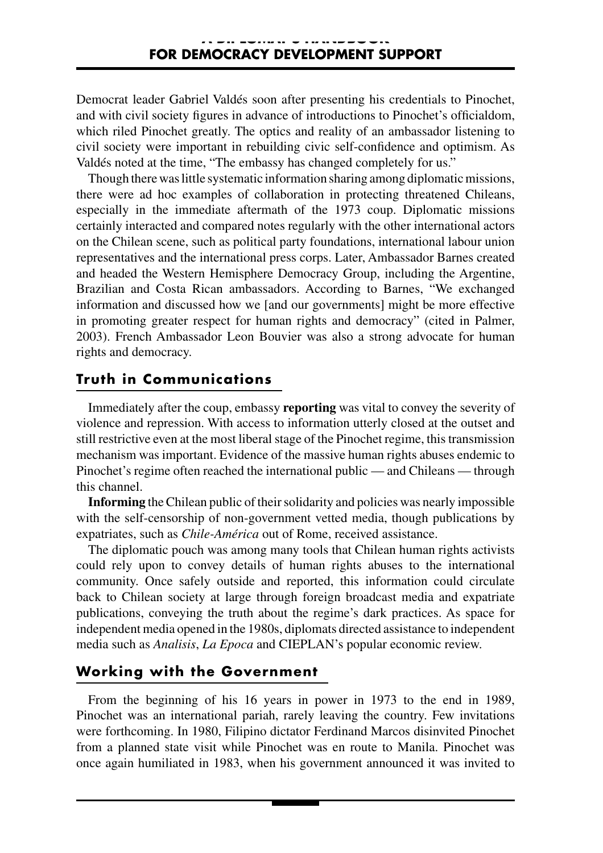Democrat leader Gabriel Valdés soon after presenting his credentials to Pinochet, and with civil society fgures in advance of introductions to Pinochet's offcialdom, which riled Pinochet greatly. The optics and reality of an ambassador listening to civil society were important in rebuilding civic self-confdence and optimism. As Valdés noted at the time, "The embassy has changed completely for us."

Though there was little systematic information sharing among diplomatic missions, there were ad hoc examples of collaboration in protecting threatened Chileans, especially in the immediate aftermath of the 1973 coup. Diplomatic missions certainly interacted and compared notes regularly with the other international actors on the Chilean scene, such as political party foundations, international labour union representatives and the international press corps. Later, Ambassador Barnes created and headed the Western Hemisphere Democracy Group, including the Argentine, Brazilian and Costa Rican ambassadors. According to Barnes, "We exchanged information and discussed how we [and our governments] might be more effective in promoting greater respect for human rights and democracy" (cited in Palmer, 2003). French Ambassador Leon Bouvier was also a strong advocate for human rights and democracy.

## **Truth in Communications**

Immediately after the coup, embassy **reporting** was vital to convey the severity of violence and repression. With access to information utterly closed at the outset and still restrictive even at the most liberal stage of the Pinochet regime, this transmission mechanism was important. Evidence of the massive human rights abuses endemic to Pinochet's regime often reached the international public — and Chileans — through this channel.

**Informing** the Chilean public of their solidarity and policies was nearly impossible with the self-censorship of non-government vetted media, though publications by expatriates, such as *Chile-América* out of Rome, received assistance.

The diplomatic pouch was among many tools that Chilean human rights activists could rely upon to convey details of human rights abuses to the international community. Once safely outside and reported, this information could circulate back to Chilean society at large through foreign broadcast media and expatriate publications, conveying the truth about the regime's dark practices. As space for independent media opened in the 1980s, diplomats directed assistance to independent media such as *Analisis*, *La Epoca* and CIEPLAN's popular economic review.

## **Working with the Government**

From the beginning of his 16 years in power in 1973 to the end in 1989, Pinochet was an international pariah, rarely leaving the country. Few invitations were forthcoming. In 1980, Filipino dictator Ferdinand Marcos disinvited Pinochet from a planned state visit while Pinochet was en route to Manila. Pinochet was once again humiliated in 1983, when his government announced it was invited to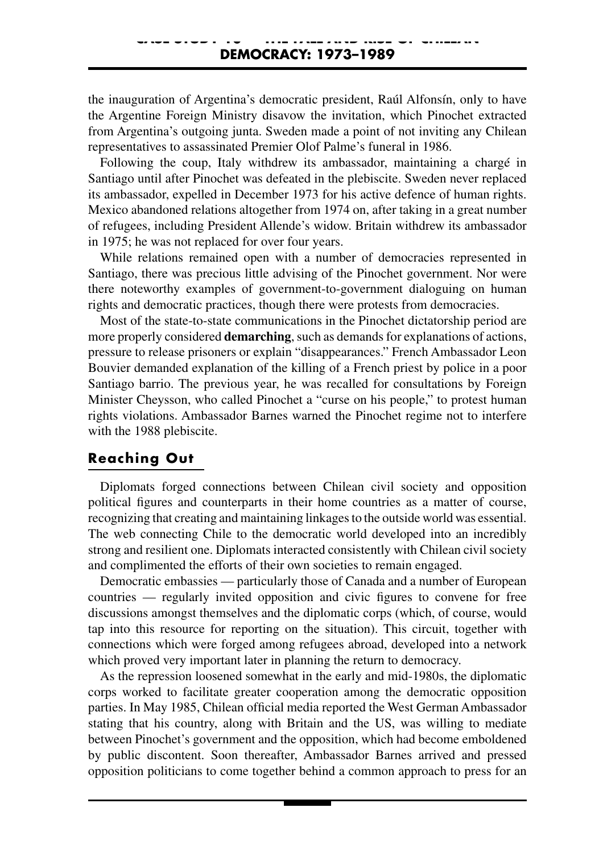the inauguration of Argentina's democratic president, Raúl Alfonsín, only to have the Argentine Foreign Ministry disavow the invitation, which Pinochet extracted from Argentina's outgoing junta. Sweden made a point of not inviting any Chilean representatives to assassinated Premier Olof Palme's funeral in 1986.

Following the coup, Italy withdrew its ambassador, maintaining a chargé in Santiago until after Pinochet was defeated in the plebiscite. Sweden never replaced its ambassador, expelled in December 1973 for his active defence of human rights. Mexico abandoned relations altogether from 1974 on, after taking in a great number of refugees, including President Allende's widow. Britain withdrew its ambassador in 1975; he was not replaced for over four years.

While relations remained open with a number of democracies represented in Santiago, there was precious little advising of the Pinochet government. Nor were there noteworthy examples of government-to-government dialoguing on human rights and democratic practices, though there were protests from democracies.

Most of the state-to-state communications in the Pinochet dictatorship period are more properly considered **demarching**, such as demands for explanations of actions, pressure to release prisoners or explain "disappearances." French Ambassador Leon Bouvier demanded explanation of the killing of a French priest by police in a poor Santiago barrio. The previous year, he was recalled for consultations by Foreign Minister Cheysson, who called Pinochet a "curse on his people," to protest human rights violations. Ambassador Barnes warned the Pinochet regime not to interfere with the 1988 plebiscite.

#### **Reaching Out**

Diplomats forged connections between Chilean civil society and opposition political fgures and counterparts in their home countries as a matter of course, recognizing that creating and maintaining linkages to the outside world was essential. The web connecting Chile to the democratic world developed into an incredibly strong and resilient one. Diplomats interacted consistently with Chilean civil society and complimented the efforts of their own societies to remain engaged.

Democratic embassies — particularly those of Canada and a number of European countries — regularly invited opposition and civic fgures to convene for free discussions amongst themselves and the diplomatic corps (which, of course, would tap into this resource for reporting on the situation). This circuit, together with connections which were forged among refugees abroad, developed into a network which proved very important later in planning the return to democracy.

As the repression loosened somewhat in the early and mid-1980s, the diplomatic corps worked to facilitate greater cooperation among the democratic opposition parties. In May 1985, Chilean official media reported the West German Ambassador stating that his country, along with Britain and the US, was willing to mediate between Pinochet's government and the opposition, which had become emboldened by public discontent. Soon thereafter, Ambassador Barnes arrived and pressed opposition politicians to come together behind a common approach to press for an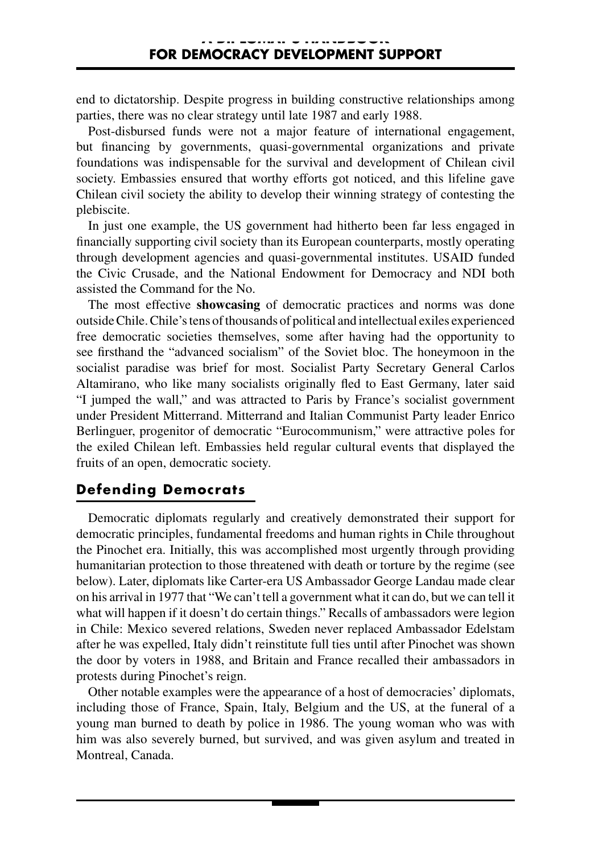end to dictatorship. Despite progress in building constructive relationships among parties, there was no clear strategy until late 1987 and early 1988.

Post-disbursed funds were not a major feature of international engagement, but fnancing by governments, quasi-governmental organizations and private foundations was indispensable for the survival and development of Chilean civil society. Embassies ensured that worthy efforts got noticed, and this lifeline gave Chilean civil society the ability to develop their winning strategy of contesting the plebiscite.

In just one example, the US government had hitherto been far less engaged in fnancially supporting civil society than its European counterparts, mostly operating through development agencies and quasi-governmental institutes. USAID funded the Civic Crusade, and the National Endowment for Democracy and NDI both assisted the Command for the No.

The most effective **showcasing** of democratic practices and norms was done outside Chile. Chile's tens of thousands of political and intellectual exiles experienced free democratic societies themselves, some after having had the opportunity to see frsthand the "advanced socialism" of the Soviet bloc. The honeymoon in the socialist paradise was brief for most. Socialist Party Secretary General Carlos Altamirano, who like many socialists originally fed to East Germany, later said "I jumped the wall," and was attracted to Paris by France's socialist government under President Mitterrand. Mitterrand and Italian Communist Party leader Enrico Berlinguer, progenitor of democratic "Eurocommunism," were attractive poles for the exiled Chilean left. Embassies held regular cultural events that displayed the fruits of an open, democratic society.

#### **Defending Democrats**

Democratic diplomats regularly and creatively demonstrated their support for democratic principles, fundamental freedoms and human rights in Chile throughout the Pinochet era. Initially, this was accomplished most urgently through providing humanitarian protection to those threatened with death or torture by the regime (see below). Later, diplomats like Carter-era US Ambassador George Landau made clear on his arrival in 1977 that "We can't tell a government what it can do, but we can tell it what will happen if it doesn't do certain things." Recalls of ambassadors were legion in Chile: Mexico severed relations, Sweden never replaced Ambassador Edelstam after he was expelled, Italy didn't reinstitute full ties until after Pinochet was shown the door by voters in 1988, and Britain and France recalled their ambassadors in protests during Pinochet's reign.

Other notable examples were the appearance of a host of democracies' diplomats, including those of France, Spain, Italy, Belgium and the US, at the funeral of a young man burned to death by police in 1986. The young woman who was with him was also severely burned, but survived, and was given asylum and treated in Montreal, Canada.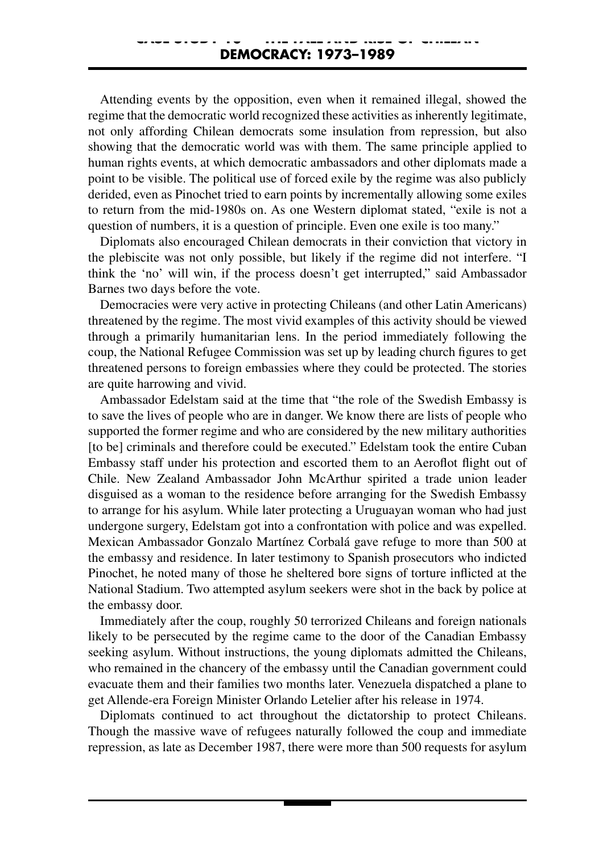Attending events by the opposition, even when it remained illegal, showed the regime that the democratic world recognized these activities as inherently legitimate, not only affording Chilean democrats some insulation from repression, but also showing that the democratic world was with them. The same principle applied to human rights events, at which democratic ambassadors and other diplomats made a point to be visible. The political use of forced exile by the regime was also publicly derided, even as Pinochet tried to earn points by incrementally allowing some exiles to return from the mid-1980s on. As one Western diplomat stated, "exile is not a question of numbers, it is a question of principle. Even one exile is too many."

Diplomats also encouraged Chilean democrats in their conviction that victory in the plebiscite was not only possible, but likely if the regime did not interfere. "I think the 'no' will win, if the process doesn't get interrupted," said Ambassador Barnes two days before the vote.

Democracies were very active in protecting Chileans (and other Latin Americans) threatened by the regime. The most vivid examples of this activity should be viewed through a primarily humanitarian lens. In the period immediately following the coup, the National Refugee Commission was set up by leading church fgures to get threatened persons to foreign embassies where they could be protected. The stories are quite harrowing and vivid.

Ambassador Edelstam said at the time that "the role of the Swedish Embassy is to save the lives of people who are in danger. We know there are lists of people who supported the former regime and who are considered by the new military authorities [to be] criminals and therefore could be executed." Edelstam took the entire Cuban Embassy staff under his protection and escorted them to an Aerofot fight out of Chile. New Zealand Ambassador John McArthur spirited a trade union leader disguised as a woman to the residence before arranging for the Swedish Embassy to arrange for his asylum. While later protecting a Uruguayan woman who had just undergone surgery, Edelstam got into a confrontation with police and was expelled. Mexican Ambassador Gonzalo Martínez Corbalá gave refuge to more than 500 at the embassy and residence. In later testimony to Spanish prosecutors who indicted Pinochet, he noted many of those he sheltered bore signs of torture inficted at the National Stadium. Two attempted asylum seekers were shot in the back by police at the embassy door.

Immediately after the coup, roughly 50 terrorized Chileans and foreign nationals likely to be persecuted by the regime came to the door of the Canadian Embassy seeking asylum. Without instructions, the young diplomats admitted the Chileans, who remained in the chancery of the embassy until the Canadian government could evacuate them and their families two months later. Venezuela dispatched a plane to get Allende-era Foreign Minister Orlando Letelier after his release in 1974.

Diplomats continued to act throughout the dictatorship to protect Chileans. Though the massive wave of refugees naturally followed the coup and immediate repression, as late as December 1987, there were more than 500 requests for asylum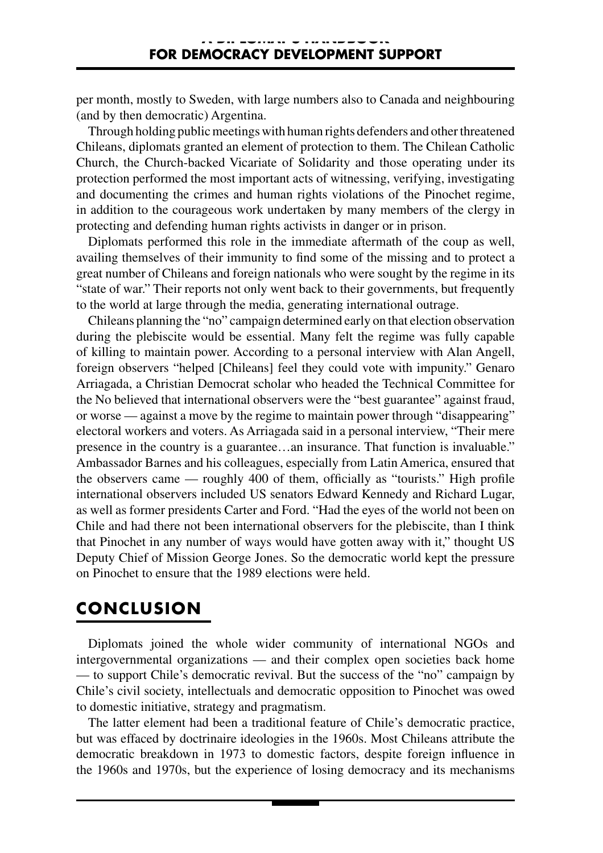per month, mostly to Sweden, with large numbers also to Canada and neighbouring (and by then democratic) Argentina.

Through holding public meetings with human rights defenders and other threatened Chileans, diplomats granted an element of protection to them. The Chilean Catholic Church, the Church-backed Vicariate of Solidarity and those operating under its protection performed the most important acts of witnessing, verifying, investigating and documenting the crimes and human rights violations of the Pinochet regime, in addition to the courageous work undertaken by many members of the clergy in protecting and defending human rights activists in danger or in prison.

Diplomats performed this role in the immediate aftermath of the coup as well, availing themselves of their immunity to fnd some of the missing and to protect a great number of Chileans and foreign nationals who were sought by the regime in its "state of war." Their reports not only went back to their governments, but frequently to the world at large through the media, generating international outrage.

Chileans planning the "no" campaign determined early on that election observation during the plebiscite would be essential. Many felt the regime was fully capable of killing to maintain power. According to a personal interview with Alan Angell, foreign observers "helped [Chileans] feel they could vote with impunity." Genaro Arriagada, a Christian Democrat scholar who headed the Technical Committee for the No believed that international observers were the "best guarantee" against fraud, or worse — against a move by the regime to maintain power through "disappearing" electoral workers and voters. As Arriagada said in a personal interview, "Their mere presence in the country is a guarantee…an insurance. That function is invaluable." Ambassador Barnes and his colleagues, especially from Latin America, ensured that the observers came — roughly 400 of them, offcially as "tourists." High profle international observers included US senators Edward Kennedy and Richard Lugar, as well as former presidents Carter and Ford. "Had the eyes of the world not been on Chile and had there not been international observers for the plebiscite, than I think that Pinochet in any number of ways would have gotten away with it," thought US Deputy Chief of Mission George Jones. So the democratic world kept the pressure on Pinochet to ensure that the 1989 elections were held.

# **CONCLUSION**

Diplomats joined the whole wider community of international NGOs and intergovernmental organizations — and their complex open societies back home — to support Chile's democratic revival. But the success of the "no" campaign by Chile's civil society, intellectuals and democratic opposition to Pinochet was owed to domestic initiative, strategy and pragmatism.

The latter element had been a traditional feature of Chile's democratic practice, but was effaced by doctrinaire ideologies in the 1960s. Most Chileans attribute the democratic breakdown in 1973 to domestic factors, despite foreign infuence in the 1960s and 1970s, but the experience of losing democracy and its mechanisms